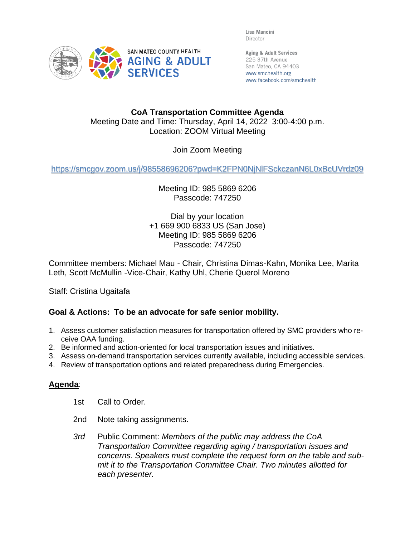Lisa Mancini Director



Aging & Adult Services 225 37th Avenue San Mateo, CA 94403 www.smchealth.org www.facebook.com/smchealth

## **CoA Transportation Committee Agenda** Meeting Date and Time: Thursday, April 14, 2022 3:00-4:00 p.m. Location: ZOOM Virtual Meeting

Join Zoom Meeting

<https://smcgov.zoom.us/j/98558696206?pwd=K2FPN0NjNlFSckczanN6L0xBcUVrdz09>

Meeting ID: 985 5869 6206 Passcode: 747250

Dial by your location +1 669 900 6833 US (San Jose) Meeting ID: 985 5869 6206 Passcode: 747250

Committee members: Michael Mau - Chair, Christina Dimas-Kahn, Monika Lee, Marita Leth, Scott McMullin -Vice-Chair, Kathy Uhl, Cherie Querol Moreno

Staff: Cristina Ugaitafa

## **Goal & Actions: To be an advocate for safe senior mobility.**

- 1. Assess customer satisfaction measures for transportation offered by SMC providers who receive OAA funding.
- 2. Be informed and action-oriented for local transportation issues and initiatives.
- 3. Assess on-demand transportation services currently available, including accessible services.
- 4. Review of transportation options and related preparedness during Emergencies.

## **Agenda**:

- 1st Call to Order.
- 2nd Note taking assignments.
- *3rd* Public Comment: *Members of the public may address the CoA Transportation Committee regarding aging / transportation issues and concerns. Speakers must complete the request form on the table and submit it to the Transportation Committee Chair. Two minutes allotted for each presenter.*